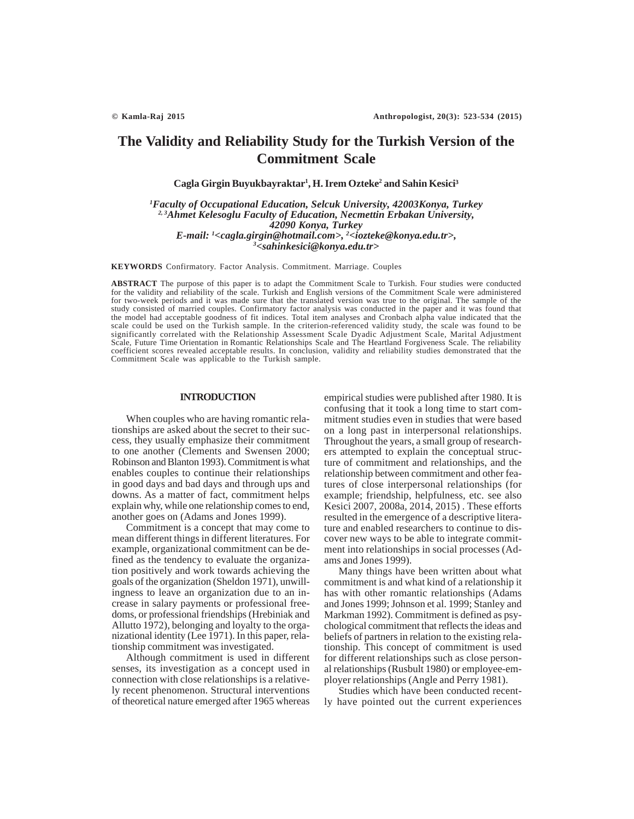# **The Validity and Reliability Study for the Turkish Version of the Commitment Scale**

**Cagla Girgin Buyukbayraktar1 , H. Irem Ozteke2 and Sahin Kesici³**

*1 Faculty of Occupational Education, Selcuk University, 42003Konya, Turkey 2, 3Ahmet Kelesoglu Faculty of Education, Necmettin Erbakan University, 42090 Konya, Turkey E-mail: 1 <cagla.girgin@hotmail.com>, 2 <iozteke@konya.edu.tr>, 3 <sahinkesici@konya.edu.tr>*

**KEYWORDS** Confirmatory. Factor Analysis. Commitment. Marriage. Couples

**ABSTRACT** The purpose of this paper is to adapt the Commitment Scale to Turkish. Four studies were conducted for the validity and reliability of the scale. Turkish and English versions of the Commitment Scale were administered for two-week periods and it was made sure that the translated version was true to the original. The sample of the study consisted of married couples. Confirmatory factor analysis was conducted in the paper and it was found that the model had acceptable goodness of fit indices. Total item analyses and Cronbach alpha value indicated that the scale could be used on the Turkish sample. In the criterion-referenced validity study, the scale was found to be significantly correlated with the Relationship Assessment Scale Dyadic Adjustment Scale, Marital Adjustment Scale, Future Time Orientation in Romantic Relationships Scale and The Heartland Forgiveness Scale. The reliability coefficient scores revealed acceptable results. In conclusion, validity and reliability studies demonstrated that the Commitment Scale was applicable to the Turkish sample.

### **INTRODUCTION**

When couples who are having romantic relationships are asked about the secret to their success, they usually emphasize their commitment to one another (Clements and Swensen 2000; Robinson and Blanton 1993). Commitment is what enables couples to continue their relationships in good days and bad days and through ups and downs. As a matter of fact, commitment helps explain why, while one relationship comes to end, another goes on (Adams and Jones 1999).

Commitment is a concept that may come to mean different things in different literatures. For example, organizational commitment can be defined as the tendency to evaluate the organization positively and work towards achieving the goals of the organization (Sheldon 1971), unwillingness to leave an organization due to an increase in salary payments or professional freedoms, or professional friendships (Hrebiniak and Allutto 1972), belonging and loyalty to the organizational identity (Lee 1971). In this paper, relationship commitment was investigated.

Although commitment is used in different senses, its investigation as a concept used in connection with close relationships is a relatively recent phenomenon. Structural interventions of theoretical nature emerged after 1965 whereas empirical studies were published after 1980. It is confusing that it took a long time to start commitment studies even in studies that were based on a long past in interpersonal relationships. Throughout the years, a small group of researchers attempted to explain the conceptual structure of commitment and relationships, and the relationship between commitment and other features of close interpersonal relationships (for example; friendship, helpfulness, etc. see also Kesici 2007, 2008a, 2014, 2015) . These efforts resulted in the emergence of a descriptive literature and enabled researchers to continue to discover new ways to be able to integrate commitment into relationships in social processes (Adams and Jones 1999).

Many things have been written about what commitment is and what kind of a relationship it has with other romantic relationships (Adams and Jones 1999; Johnson et al. 1999; Stanley and Markman 1992). Commitment is defined as psychological commitment that reflects the ideas and beliefs of partners in relation to the existing relationship. This concept of commitment is used for different relationships such as close personal relationships (Rusbult 1980) or employee-employer relationships (Angle and Perry 1981).

Studies which have been conducted recently have pointed out the current experiences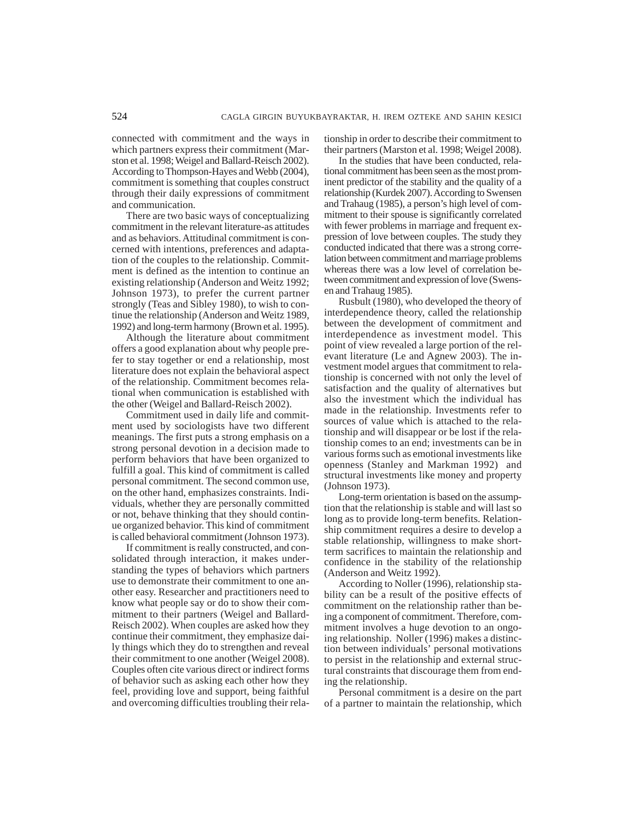connected with commitment and the ways in which partners express their commitment (Marston et al. 1998; Weigel and Ballard-Reisch 2002). According to Thompson-Hayes and Webb (2004), commitment is something that couples construct through their daily expressions of commitment and communication.

There are two basic ways of conceptualizing commitment in the relevant literature-as attitudes and as behaviors. Attitudinal commitment is concerned with intentions, preferences and adaptation of the couples to the relationship. Commitment is defined as the intention to continue an existing relationship (Anderson and Weitz 1992; Johnson 1973), to prefer the current partner strongly (Teas and Sibley 1980), to wish to continue the relationship (Anderson and Weitz 1989, 1992) and long-term harmony (Brown et al. 1995).

Although the literature about commitment offers a good explanation about why people prefer to stay together or end a relationship, most literature does not explain the behavioral aspect of the relationship. Commitment becomes relational when communication is established with the other (Weigel and Ballard-Reisch 2002).

Commitment used in daily life and commitment used by sociologists have two different meanings. The first puts a strong emphasis on a strong personal devotion in a decision made to perform behaviors that have been organized to fulfill a goal. This kind of commitment is called personal commitment. The second common use, on the other hand, emphasizes constraints. Individuals, whether they are personally committed or not, behave thinking that they should continue organized behavior. This kind of commitment is called behavioral commitment (Johnson 1973).

If commitment is really constructed, and consolidated through interaction, it makes understanding the types of behaviors which partners use to demonstrate their commitment to one another easy. Researcher and practitioners need to know what people say or do to show their commitment to their partners (Weigel and Ballard-Reisch 2002). When couples are asked how they continue their commitment, they emphasize daily things which they do to strengthen and reveal their commitment to one another (Weigel 2008). Couples often cite various direct or indirect forms of behavior such as asking each other how they feel, providing love and support, being faithful and overcoming difficulties troubling their relationship in order to describe their commitment to their partners (Marston et al. 1998; Weigel 2008).

In the studies that have been conducted, relational commitment has been seen as the most prominent predictor of the stability and the quality of a relationship (Kurdek 2007). According to Swensen and Trahaug (1985), a person's high level of commitment to their spouse is significantly correlated with fewer problems in marriage and frequent expression of love between couples. The study they conducted indicated that there was a strong correlation between commitment and marriage problems whereas there was a low level of correlation between commitment and expression of love (Swensen and Trahaug 1985).

Rusbult (1980), who developed the theory of interdependence theory, called the relationship between the development of commitment and interdependence as investment model. This point of view revealed a large portion of the relevant literature (Le and Agnew 2003). The investment model argues that commitment to relationship is concerned with not only the level of satisfaction and the quality of alternatives but also the investment which the individual has made in the relationship. Investments refer to sources of value which is attached to the relationship and will disappear or be lost if the relationship comes to an end; investments can be in various forms such as emotional investments like openness (Stanley and Markman 1992) and structural investments like money and property (Johnson 1973).

Long-term orientation is based on the assumption that the relationship is stable and will last so long as to provide long-term benefits. Relationship commitment requires a desire to develop a stable relationship, willingness to make shortterm sacrifices to maintain the relationship and confidence in the stability of the relationship (Anderson and Weitz 1992).

According to Noller (1996), relationship stability can be a result of the positive effects of commitment on the relationship rather than being a component of commitment. Therefore, commitment involves a huge devotion to an ongoing relationship. Noller (1996) makes a distinction between individuals' personal motivations to persist in the relationship and external structural constraints that discourage them from ending the relationship.

Personal commitment is a desire on the part of a partner to maintain the relationship, which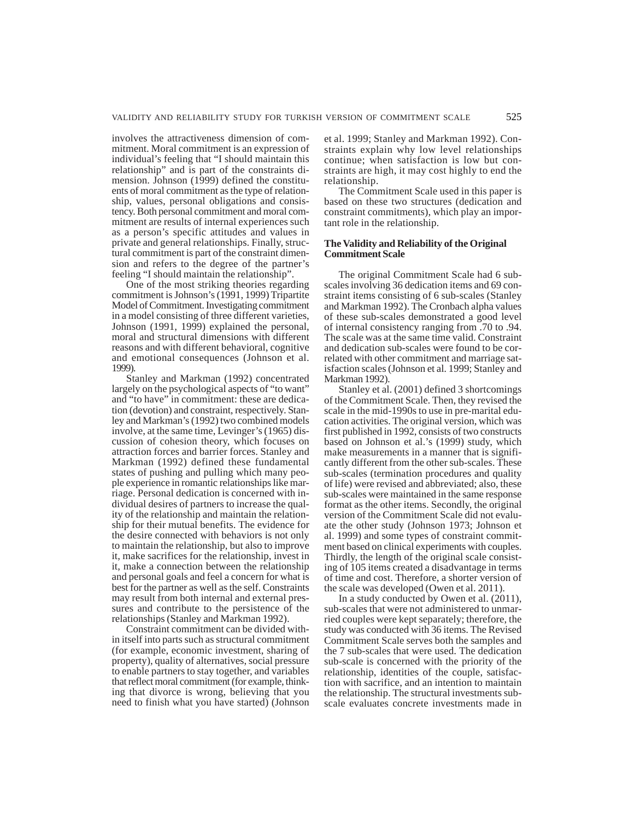involves the attractiveness dimension of commitment. Moral commitment is an expression of individual's feeling that "I should maintain this relationship" and is part of the constraints dimension. Johnson (1999) defined the constituents of moral commitment as the type of relationship, values, personal obligations and consistency. Both personal commitment and moral commitment are results of internal experiences such as a person's specific attitudes and values in private and general relationships. Finally, structural commitment is part of the constraint dimension and refers to the degree of the partner's feeling "I should maintain the relationship".

One of the most striking theories regarding commitment is Johnson's (1991, 1999) Tripartite Model of Commitment. Investigating commitment in a model consisting of three different varieties, Johnson (1991, 1999) explained the personal, moral and structural dimensions with different reasons and with different behavioral, cognitive and emotional consequences (Johnson et al. 1999).

Stanley and Markman (1992) concentrated largely on the psychological aspects of "to want" and "to have" in commitment: these are dedication (devotion) and constraint, respectively. Stanley and Markman's (1992) two combined models involve, at the same time, Levinger's (1965) discussion of cohesion theory, which focuses on attraction forces and barrier forces. Stanley and Markman (1992) defined these fundamental states of pushing and pulling which many people experience in romantic relationships like marriage. Personal dedication is concerned with individual desires of partners to increase the quality of the relationship and maintain the relationship for their mutual benefits. The evidence for the desire connected with behaviors is not only to maintain the relationship, but also to improve it, make sacrifices for the relationship, invest in it, make a connection between the relationship and personal goals and feel a concern for what is best for the partner as well as the self. Constraints may result from both internal and external pressures and contribute to the persistence of the relationships (Stanley and Markman 1992).

Constraint commitment can be divided within itself into parts such as structural commitment (for example, economic investment, sharing of property), quality of alternatives, social pressure to enable partners to stay together, and variables that reflect moral commitment (for example, thinking that divorce is wrong, believing that you need to finish what you have started) (Johnson et al. 1999; Stanley and Markman 1992). Constraints explain why low level relationships continue; when satisfaction is low but constraints are high, it may cost highly to end the relationship.

The Commitment Scale used in this paper is based on these two structures (dedication and constraint commitments), which play an important role in the relationship.

# **The Validity and Reliability of the Original Commitment Scale**

The original Commitment Scale had 6 subscales involving 36 dedication items and 69 constraint items consisting of 6 sub-scales (Stanley and Markman 1992). The Cronbach alpha values of these sub-scales demonstrated a good level of internal consistency ranging from .70 to .94. The scale was at the same time valid. Constraint and dedication sub-scales were found to be correlated with other commitment and marriage satisfaction scales (Johnson et al. 1999; Stanley and Markman 1992).

Stanley et al. (2001) defined 3 shortcomings of the Commitment Scale. Then, they revised the scale in the mid-1990s to use in pre-marital education activities. The original version, which was first published in 1992, consists of two constructs based on Johnson et al.'s (1999) study, which make measurements in a manner that is significantly different from the other sub-scales. These sub-scales (termination procedures and quality of life) were revised and abbreviated; also, these sub-scales were maintained in the same response format as the other items. Secondly, the original version of the Commitment Scale did not evaluate the other study (Johnson 1973; Johnson et al. 1999) and some types of constraint commitment based on clinical experiments with couples. Thirdly, the length of the original scale consisting of 105 items created a disadvantage in terms of time and cost. Therefore, a shorter version of the scale was developed (Owen et al. 2011).

In a study conducted by Owen et al. (2011), sub-scales that were not administered to unmarried couples were kept separately; therefore, the study was conducted with 36 items. The Revised Commitment Scale serves both the samples and the 7 sub-scales that were used. The dedication sub-scale is concerned with the priority of the relationship, identities of the couple, satisfaction with sacrifice, and an intention to maintain the relationship. The structural investments subscale evaluates concrete investments made in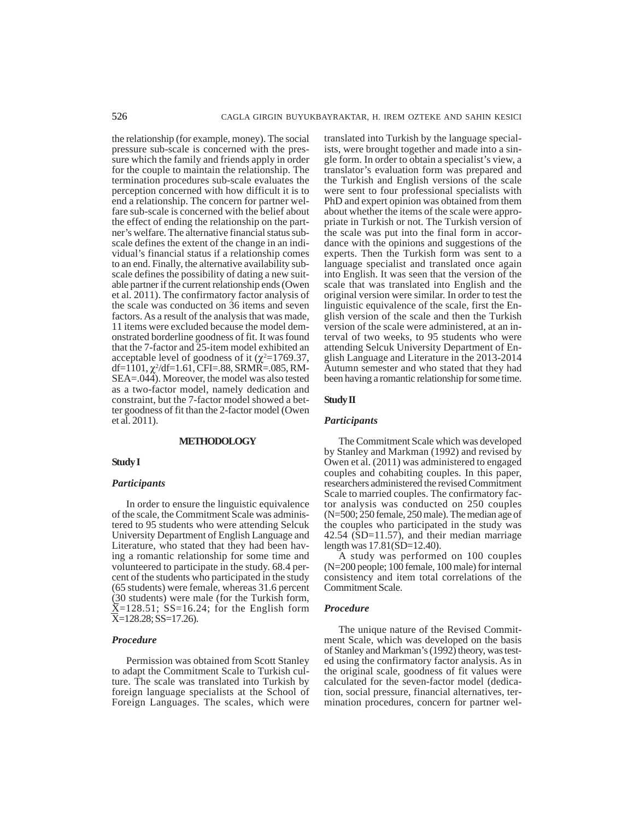the relationship (for example, money). The social pressure sub-scale is concerned with the pressure which the family and friends apply in order for the couple to maintain the relationship. The termination procedures sub-scale evaluates the perception concerned with how difficult it is to end a relationship. The concern for partner welfare sub-scale is concerned with the belief about the effect of ending the relationship on the partner's welfare. The alternative financial status subscale defines the extent of the change in an individual's financial status if a relationship comes to an end. Finally, the alternative availability subscale defines the possibility of dating a new suitable partner if the current relationship ends (Owen et al. 2011). The confirmatory factor analysis of the scale was conducted on 36 items and seven factors. As a result of the analysis that was made, 11 items were excluded because the model demonstrated borderline goodness of fit. It was found that the 7-factor and 25-item model exhibited an acceptable level of goodness of it  $(\chi^2=1769.37,$ df=1101, χ<sup>2</sup>/df=1.61, CFI=.88, SRMR=.085, RM-SEA=.044). Moreover, the model was also tested as a two-factor model, namely dedication and constraint, but the 7-factor model showed a better goodness of fit than the 2-factor model (Owen et al. 2011).

#### **METHODOLOGY**

# **Study I**

### *Participants*

In order to ensure the linguistic equivalence of the scale, the Commitment Scale was administered to 95 students who were attending Selcuk University Department of English Language and Literature, who stated that they had been having a romantic relationship for some time and volunteered to participate in the study. 68.4 percent of the students who participated in the study (65 students) were female, whereas 31.6 percent (30 students) were male (for the Turkish form,  $\overline{X}$ =128.51; SS=16.24; for the English form X=128.28; SS=17.26).

# *Procedure*

Permission was obtained from Scott Stanley to adapt the Commitment Scale to Turkish culture. The scale was translated into Turkish by foreign language specialists at the School of Foreign Languages. The scales, which were translated into Turkish by the language specialists, were brought together and made into a single form. In order to obtain a specialist's view, a translator's evaluation form was prepared and the Turkish and English versions of the scale were sent to four professional specialists with PhD and expert opinion was obtained from them about whether the items of the scale were appropriate in Turkish or not. The Turkish version of the scale was put into the final form in accordance with the opinions and suggestions of the experts. Then the Turkish form was sent to a language specialist and translated once again into English. It was seen that the version of the scale that was translated into English and the original version were similar. In order to test the linguistic equivalence of the scale, first the English version of the scale and then the Turkish version of the scale were administered, at an interval of two weeks, to 95 students who were attending Selcuk University Department of English Language and Literature in the 2013-2014 Autumn semester and who stated that they had been having a romantic relationship for some time.

# **Study II**

### *Participants*

The Commitment Scale which was developed by Stanley and Markman (1992) and revised by Owen et al. (2011) was administered to engaged couples and cohabiting couples. In this paper, researchers administered the revised Commitment Scale to married couples. The confirmatory factor analysis was conducted on 250 couples (N=500; 250 female, 250 male). The median age of the couples who participated in the study was 42.54 ( $\overline{SD}$ =11.57), and their median marriage length was 17.81(SD=12.40).

A study was performed on 100 couples (N=200 people; 100 female, 100 male) for internal consistency and item total correlations of the Commitment Scale.

# *Procedure*

The unique nature of the Revised Commitment Scale, which was developed on the basis of Stanley and Markman's (1992) theory, was tested using the confirmatory factor analysis. As in the original scale, goodness of fit values were calculated for the seven-factor model (dedication, social pressure, financial alternatives, termination procedures, concern for partner wel-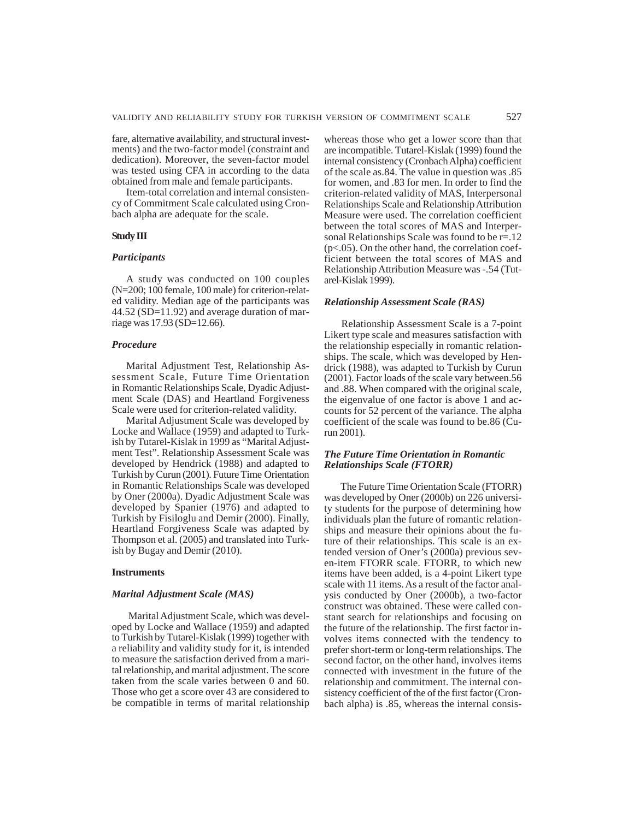fare, alternative availability, and structural investments) and the two-factor model (constraint and dedication). Moreover, the seven-factor model was tested using CFA in according to the data obtained from male and female participants.

Item-total correlation and internal consistency of Commitment Scale calculated using Cronbach alpha are adequate for the scale.

### **Study III**

# *Participants*

A study was conducted on 100 couples (N=200; 100 female, 100 male) for criterion-related validity. Median age of the participants was 44.52 (SD=11.92) and average duration of marriage was 17.93 (SD=12.66).

### *Procedure*

Marital Adjustment Test, Relationship Assessment Scale, Future Time Orientation in Romantic Relationships Scale, Dyadic Adjustment Scale (DAS) and Heartland Forgiveness Scale were used for criterion-related validity.

Marital Adjustment Scale was developed by Locke and Wallace (1959) and adapted to Turkish by Tutarel-Kislak in 1999 as "Marital Adjustment Test". Relationship Assessment Scale was developed by Hendrick (1988) and adapted to Turkish by Curun (2001). Future Time Orientation in Romantic Relationships Scale was developed by Oner (2000a). Dyadic Adjustment Scale was developed by Spanier (1976) and adapted to Turkish by Fisiloglu and Demir (2000). Finally, Heartland Forgiveness Scale was adapted by Thompson et al. (2005) and translated into Turkish by Bugay and Demir (2010).

#### **Instruments**

#### *Marital Adjustment Scale (MAS)*

Marital Adjustment Scale, which was developed by Locke and Wallace (1959) and adapted to Turkish by Tutarel-Kislak (1999) together with a reliability and validity study for it, is intended to measure the satisfaction derived from a marital relationship, and marital adjustment. The score taken from the scale varies between 0 and 60. Those who get a score over 43 are considered to be compatible in terms of marital relationship whereas those who get a lower score than that are incompatible. Tutarel-Kislak (1999) found the internal consistency (Cronbach Alpha) coefficient of the scale as.84. The value in question was .85 for women, and .83 for men. In order to find the criterion-related validity of MAS, Interpersonal Relationships Scale and Relationship Attribution Measure were used. The correlation coefficient between the total scores of MAS and Interpersonal Relationships Scale was found to be r=.12  $(p<.05)$ . On the other hand, the correlation coefficient between the total scores of MAS and Relationship Attribution Measure was -.54 (Tutarel-Kislak 1999).

#### *Relationship Assessment Scale (RAS)*

Relationship Assessment Scale is a 7-point Likert type scale and measures satisfaction with the relationship especially in romantic relationships. The scale, which was developed by Hendrick (1988), was adapted to Turkish by Curun (2001). Factor loads of the scale vary between.56 and .88. When compared with the original scale, the eigenvalue of one factor is above 1 and accounts for 52 percent of the variance. The alpha coefficient of the scale was found to be.86 (Curun 2001).

# *The Future Time Orientation in Romantic Relationships Scale (FTORR)*

The Future Time Orientation Scale (FTORR) was developed by Oner (2000b) on 226 university students for the purpose of determining how individuals plan the future of romantic relationships and measure their opinions about the future of their relationships. This scale is an extended version of Oner's (2000a) previous seven-item FTORR scale. FTORR, to which new items have been added, is a 4-point Likert type scale with 11 items. As a result of the factor analysis conducted by Oner (2000b), a two-factor construct was obtained. These were called constant search for relationships and focusing on the future of the relationship. The first factor involves items connected with the tendency to prefer short-term or long-term relationships. The second factor, on the other hand, involves items connected with investment in the future of the relationship and commitment. The internal consistency coefficient of the of the first factor (Cronbach alpha) is .85, whereas the internal consis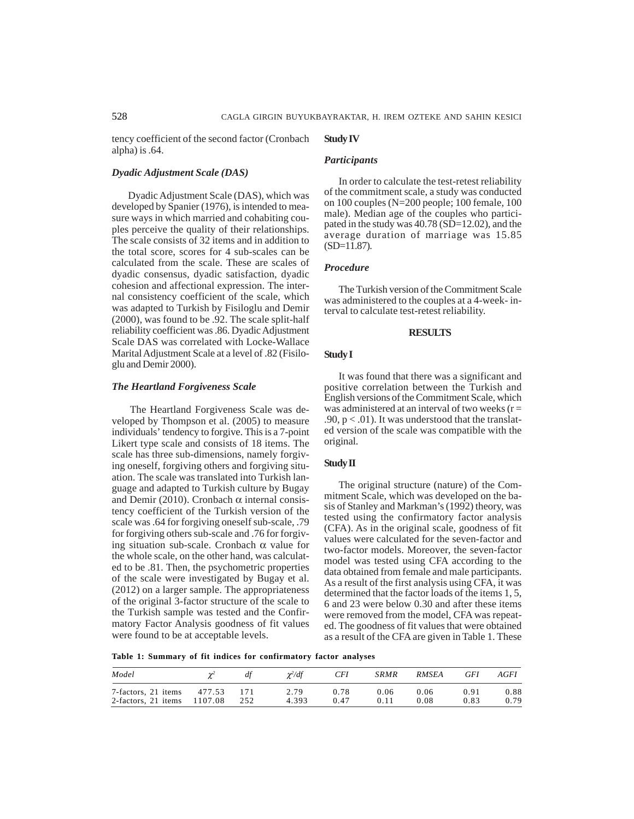tency coefficient of the second factor (Cronbach alpha) is .64.

# *Dyadic Adjustment Scale (DAS)*

 Dyadic Adjustment Scale (DAS), which was developed by Spanier (1976), is intended to measure ways in which married and cohabiting couples perceive the quality of their relationships. The scale consists of 32 items and in addition to the total score, scores for 4 sub-scales can be calculated from the scale. These are scales of dyadic consensus, dyadic satisfaction, dyadic cohesion and affectional expression. The internal consistency coefficient of the scale, which was adapted to Turkish by Fisiloglu and Demir (2000), was found to be .92. The scale split-half reliability coefficient was .86. Dyadic Adjustment Scale DAS was correlated with Locke-Wallace Marital Adjustment Scale at a level of .82 (Fisiloglu and Demir 2000).

### *The Heartland Forgiveness Scale*

 The Heartland Forgiveness Scale was developed by Thompson et al. (2005) to measure individuals' tendency to forgive. This is a 7-point Likert type scale and consists of 18 items. The scale has three sub-dimensions, namely forgiving oneself, forgiving others and forgiving situation. The scale was translated into Turkish language and adapted to Turkish culture by Bugay and Demir (2010). Cronbach  $\alpha$  internal consistency coefficient of the Turkish version of the scale was .64 for forgiving oneself sub-scale, .79 for forgiving others sub-scale and .76 for forgiving situation sub-scale. Cronbach  $\alpha$  value for the whole scale, on the other hand, was calculated to be .81. Then, the psychometric properties of the scale were investigated by Bugay et al. (2012) on a larger sample. The appropriateness of the original 3-factor structure of the scale to the Turkish sample was tested and the Confirmatory Factor Analysis goodness of fit values were found to be at acceptable levels.

# **Study IV**

### *Participants*

In order to calculate the test-retest reliability of the commitment scale, a study was conducted on 100 couples (N=200 people; 100 female, 100 male). Median age of the couples who participated in the study was 40.78 (SD=12.02), and the average duration of marriage was 15.85  $(SD=11.87)$ .

# *Procedure*

The Turkish version of the Commitment Scale was administered to the couples at a 4-week- interval to calculate test-retest reliability.

#### **RESULTS**

#### **Study I**

It was found that there was a significant and positive correlation between the Turkish and English versions of the Commitment Scale, which was administered at an interval of two weeks  $(r =$ .90,  $p < .01$ ). It was understood that the translated version of the scale was compatible with the original.

# **Study II**

The original structure (nature) of the Commitment Scale, which was developed on the basis of Stanley and Markman's (1992) theory, was tested using the confirmatory factor analysis (CFA). As in the original scale, goodness of fit values were calculated for the seven-factor and two-factor models. Moreover, the seven-factor model was tested using CFA according to the data obtained from female and male participants. As a result of the first analysis using CFA, it was determined that the factor loads of the items 1, 5, 6 and 23 were below 0.30 and after these items were removed from the model, CFA was repeated. The goodness of fit values that were obtained as a result of the CFA are given in Table 1. These

**Table 1: Summary of fit indices for confirmatory factor analyses**

| Model               |         |     | $\chi^2/df$ | CF1  | <i>SRMR</i> | RMSEA | GFI  | AGFI |
|---------------------|---------|-----|-------------|------|-------------|-------|------|------|
| 7-factors, 21 items | 477.53  | 252 | 2.79        | 0.78 | 0.06        | 0.06  | 0.91 | 0.88 |
| 2-factors, 21 items | 1107.08 |     | 4.393       | 0.47 | 0.11        | 0.08  | 0.83 | 0.79 |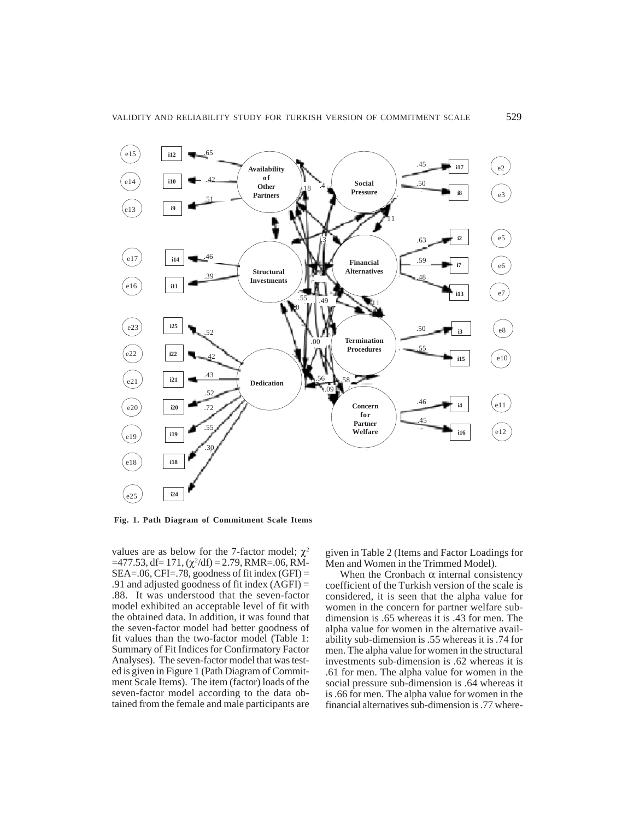

**Fig. 1. Path Diagram of Commitment Scale Items**

values are as below for the 7-factor model;  $\chi^2$  $=477.53$ , df= 171,  $(\chi^2/df) = 2.79$ , RMR=.06, RM- $SEA = .06$ ,  $CFI = .78$ , goodness of fit index  $(GFI) =$ .91 and adjusted goodness of fit index (AGFI) = .88. It was understood that the seven-factor model exhibited an acceptable level of fit with the obtained data. In addition, it was found that the seven-factor model had better goodness of fit values than the two-factor model (Table 1: Summary of Fit Indices for Confirmatory Factor Analyses). The seven-factor model that was tested is given in Figure 1 (Path Diagram of Commitment Scale Items). The item (factor) loads of the seven-factor model according to the data obtained from the female and male participants are

given in Table 2 (Items and Factor Loadings for Men and Women in the Trimmed Model).

When the Cronbach  $\alpha$  internal consistency coefficient of the Turkish version of the scale is considered, it is seen that the alpha value for women in the concern for partner welfare subdimension is .65 whereas it is .43 for men. The alpha value for women in the alternative availability sub-dimension is .55 whereas it is .74 for men. The alpha value for women in the structural investments sub-dimension is .62 whereas it is .61 for men. The alpha value for women in the social pressure sub-dimension is .64 whereas it is .66 for men. The alpha value for women in the financial alternatives sub-dimension is .77 where-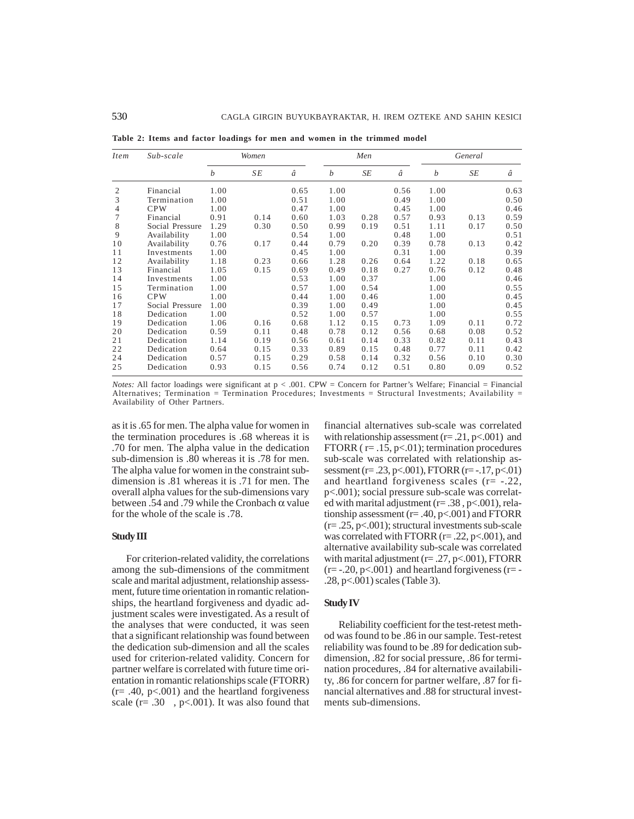| <i>Item</i> | Sub-scale       | Women |      |      | Men              |      |      | General |      |      |
|-------------|-----------------|-------|------|------|------------------|------|------|---------|------|------|
|             |                 | b     | SΕ   | â    | $\boldsymbol{b}$ | SE   | â    | b       | SE   | â    |
| 2           | Financial       | 1.00  |      | 0.65 | 1.00             |      | 0.56 | 1.00    |      | 0.63 |
| 3           | Termination     | 1.00  |      | 0.51 | 1.00             |      | 0.49 | 1.00    |      | 0.50 |
| 4           | <b>CPW</b>      | 1.00  |      | 0.47 | 1.00             |      | 0.45 | 1.00    |      | 0.46 |
| 7           | Financial       | 0.91  | 0.14 | 0.60 | 1.03             | 0.28 | 0.57 | 0.93    | 0.13 | 0.59 |
| 8           | Social Pressure | 1.29  | 0.30 | 0.50 | 0.99             | 0.19 | 0.51 | 1.11    | 0.17 | 0.50 |
| 9           | Availability    | 1.00  |      | 0.54 | 1.00             |      | 0.48 | 1.00    |      | 0.51 |
| 10          | Availability    | 0.76  | 0.17 | 0.44 | 0.79             | 0.20 | 0.39 | 0.78    | 0.13 | 0.42 |
| 11          | Investments     | 1.00  |      | 0.45 | 1.00             |      | 0.31 | 1.00    |      | 0.39 |
| 12          | Availability    | 1.18  | 0.23 | 0.66 | 1.28             | 0.26 | 0.64 | 1.22    | 0.18 | 0.65 |
| 13          | Financial       | 1.05  | 0.15 | 0.69 | 0.49             | 0.18 | 0.27 | 0.76    | 0.12 | 0.48 |
| 14          | Investments     | 1.00  |      | 0.53 | 1.00             | 0.37 |      | 1.00    |      | 0.46 |
| 15          | Termination     | 1.00  |      | 0.57 | 1.00             | 0.54 |      | 1.00    |      | 0.55 |
| 16          | <b>CPW</b>      | 1.00  |      | 0.44 | 1.00             | 0.46 |      | 1.00    |      | 0.45 |
| 17          | Social Pressure | 1.00  |      | 0.39 | 1.00             | 0.49 |      | 1.00    |      | 0.45 |
| 18          | Dedication      | 1.00  |      | 0.52 | 1.00             | 0.57 |      | 1.00    |      | 0.55 |
| 19          | Dedication      | 1.06  | 0.16 | 0.68 | 1.12             | 0.15 | 0.73 | 1.09    | 0.11 | 0.72 |
| 20          | Dedication      | 0.59  | 0.11 | 0.48 | 0.78             | 0.12 | 0.56 | 0.68    | 0.08 | 0.52 |
| 21          | Dedication      | 1.14  | 0.19 | 0.56 | 0.61             | 0.14 | 0.33 | 0.82    | 0.11 | 0.43 |
| 22          | Dedication      | 0.64  | 0.15 | 0.33 | 0.89             | 0.15 | 0.48 | 0.77    | 0.11 | 0.42 |
| 24          | Dedication      | 0.57  | 0.15 | 0.29 | 0.58             | 0.14 | 0.32 | 0.56    | 0.10 | 0.30 |
| 25          | Dedication      | 0.93  | 0.15 | 0.56 | 0.74             | 0.12 | 0.51 | 0.80    | 0.09 | 0.52 |

**Table 2: Items and factor loadings for men and women in the trimmed model**

*Notes:* All factor loadings were significant at  $p < .001$ . CPW = Concern for Partner's Welfare; Financial = Financial Alternatives; Termination = Termination Procedures; Investments = Structural Investments; Availability = Availability of Other Partners.

as it is .65 for men. The alpha value for women in the termination procedures is .68 whereas it is .70 for men. The alpha value in the dedication sub-dimension is .80 whereas it is .78 for men. The alpha value for women in the constraint subdimension is .81 whereas it is .71 for men. The overall alpha values for the sub-dimensions vary between .54 and .79 while the Cronbach  $\alpha$  value for the whole of the scale is .78.

### **Study III**

For criterion-related validity, the correlations among the sub-dimensions of the commitment scale and marital adjustment, relationship assessment, future time orientation in romantic relationships, the heartland forgiveness and dyadic adjustment scales were investigated. As a result of the analyses that were conducted, it was seen that a significant relationship was found between the dedication sub-dimension and all the scales used for criterion-related validity. Concern for partner welfare is correlated with future time orientation in romantic relationships scale (FTORR)  $(r= .40, p< .001)$  and the heartland forgiveness scale  $(r=.30, p<.001)$ . It was also found that financial alternatives sub-scale was correlated with relationship assessment ( $r = .21$ ,  $p < .001$ ) and FTORR ( $r = .15$ ,  $p < .01$ ); termination procedures sub-scale was correlated with relationship assessment (r= .23, p<.001), FTORR (r= -.17, p<.01) and heartland forgiveness scales (r= -.22, p<.001); social pressure sub-scale was correlated with marital adjustment ( $r = .38$ ,  $p < .001$ ), relationship assessment ( $r = .40$ ,  $p < .001$ ) and FTORR  $(r=.25, p<.001)$ ; structural investments sub-scale was correlated with FTORR  $(r=.22, p<.001)$ , and alternative availability sub-scale was correlated with marital adjustment ( $r = .27$ ,  $p < .001$ ), FTORR  $(r=-.20, p<.001)$  and heartland forgiveness  $(r=-.20, p<.001)$ .28, p<.001) scales (Table 3).

# **Study IV**

Reliability coefficient for the test-retest method was found to be .86 in our sample. Test-retest reliability was found to be .89 for dedication subdimension, .82 for social pressure, .86 for termination procedures, .84 for alternative availability, .86 for concern for partner welfare, .87 for financial alternatives and .88 for structural investments sub-dimensions.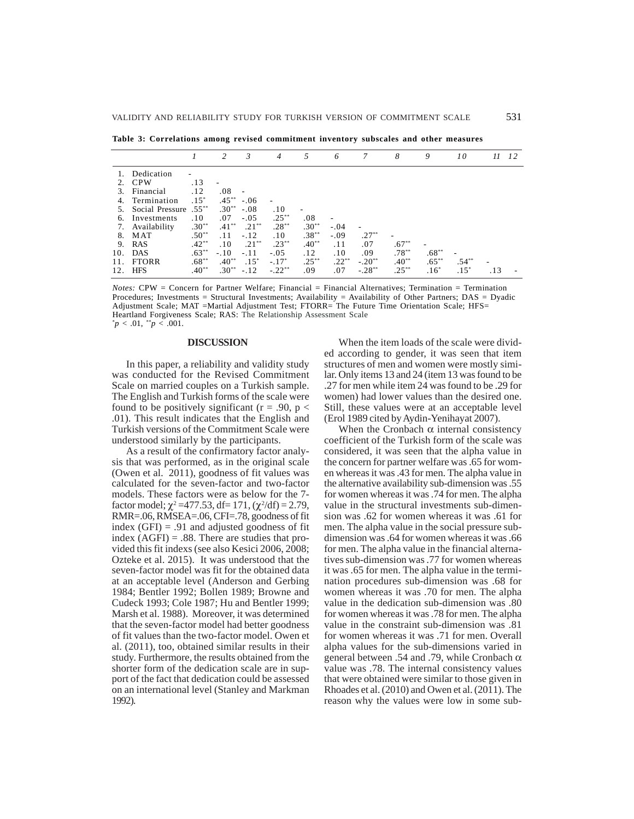|     |                        |          | 2        | 3        | 4        | 5        | 6        |           | 8        | 9        | 10      |     |  |
|-----|------------------------|----------|----------|----------|----------|----------|----------|-----------|----------|----------|---------|-----|--|
|     | Dedication             |          |          |          |          |          |          |           |          |          |         |     |  |
| 2.  | <b>CPW</b>             | .13      |          |          |          |          |          |           |          |          |         |     |  |
| 3.  | Financial              | .12      | .08      |          |          |          |          |           |          |          |         |     |  |
| 4.  | Termination            | $.15*$   | $.45***$ | $-.06$   |          |          |          |           |          |          |         |     |  |
| 5.  | "Social Pressure .55** |          | $.30**$  | $-.08$   | .10      |          |          |           |          |          |         |     |  |
| 6.  | Investments            | .10      | .07      | $-.05$   | $.25***$ | .08      |          |           |          |          |         |     |  |
|     | Availability           | $.30**$  | $.41***$ | $.21***$ | $.28***$ | $.30**$  | $-.04$   |           |          |          |         |     |  |
| 8.  | MAT                    | $.50**$  | .11      | $-.12$   | .10      | $.38***$ | $-.09$   | $.27***$  |          |          |         |     |  |
|     | 9. RAS                 | $.42**$  | .10      | $.21***$ | $.23***$ | $.40**$  | . 11     | .07       | $.67^*$  |          |         |     |  |
|     | 10. DAS                | $.63**$  | $-.10$   | $-.11$   | $-.05$   | .12      | .10      | .09       | $.78***$ | $.68**$  |         |     |  |
| 11. | <b>FTORR</b>           | $.68***$ | $.40**$  | $.15*$   | $-.17*$  | $.25***$ | $.22***$ | $-.20**$  | $.40**$  | $.65***$ | $.54**$ |     |  |
| 12. | <b>HFS</b>             | $.40**$  | $.30**$  | $-.12$   | $-.22**$ | .09      | .07      | $-.28$ ** | $.25***$ | $.16*$   | $.15*$  | .13 |  |

**Table 3: Correlations among revised commitment inventory subscales and other measures**

*Notes:* CPW = Concern for Partner Welfare; Financial = Financial Alternatives; Termination = Termination Procedures; Investments = Structural Investments; Availability = Availability of Other Partners; DAS = Dyadic Adjustment Scale; MAT =Martial Adjustment Test; FTORR= The Future Time Orientation Scale; HFS= Heartland Forgiveness Scale; RAS: The Relationship Assessment Scale  $p < .01, \sqrt[**]{p} < .001.$ 

**DISCUSSION**

In this paper, a reliability and validity study was conducted for the Revised Commitment Scale on married couples on a Turkish sample. The English and Turkish forms of the scale were found to be positively significant ( $r = .90$ ,  $p <$ .01). This result indicates that the English and Turkish versions of the Commitment Scale were understood similarly by the participants.

As a result of the confirmatory factor analysis that was performed, as in the original scale (Owen et al. 2011), goodness of fit values was calculated for the seven-factor and two-factor models. These factors were as below for the 7 factor model;  $\chi^2$  =477.53, df = 171,  $(\chi^2/df)$  = 2.79, RMR=.06, RMSEA=.06, CFI=.78, goodness of fit index  $(GFI) = .91$  and adjusted goodness of fit index  $(AGFI) = .88$ . There are studies that provided this fit indexs (see also Kesici 2006, 2008; Ozteke et al. 2015). It was understood that the seven-factor model was fit for the obtained data at an acceptable level (Anderson and Gerbing 1984; Bentler 1992; Bollen 1989; Browne and Cudeck 1993; Cole 1987; Hu and Bentler 1999; Marsh et al. 1988). Moreover, it was determined that the seven-factor model had better goodness of fit values than the two-factor model. Owen et al. (2011), too, obtained similar results in their study. Furthermore, the results obtained from the shorter form of the dedication scale are in support of the fact that dedication could be assessed on an international level (Stanley and Markman 1992).

When the item loads of the scale were divided according to gender, it was seen that item structures of men and women were mostly similar. Only items 13 and 24 (item 13 was found to be .27 for men while item 24 was found to be .29 for women) had lower values than the desired one. Still, these values were at an acceptable level (Erol 1989 cited by Aydin-Yenihayat 2007).

When the Cronbach  $\alpha$  internal consistency coefficient of the Turkish form of the scale was considered, it was seen that the alpha value in the concern for partner welfare was .65 for women whereas it was .43 for men. The alpha value in the alternative availability sub-dimension was .55 for women whereas it was .74 for men. The alpha value in the structural investments sub-dimension was .62 for women whereas it was .61 for men. The alpha value in the social pressure subdimension was .64 for women whereas it was .66 for men. The alpha value in the financial alternatives sub-dimension was .77 for women whereas it was .65 for men. The alpha value in the termination procedures sub-dimension was .68 for women whereas it was .70 for men. The alpha value in the dedication sub-dimension was .80 for women whereas it was .78 for men. The alpha value in the constraint sub-dimension was .81 for women whereas it was .71 for men. Overall alpha values for the sub-dimensions varied in general between .54 and .79, while Cronbach α value was .78. The internal consistency values that were obtained were similar to those given in Rhoades et al. (2010) and Owen et al. (2011). The reason why the values were low in some sub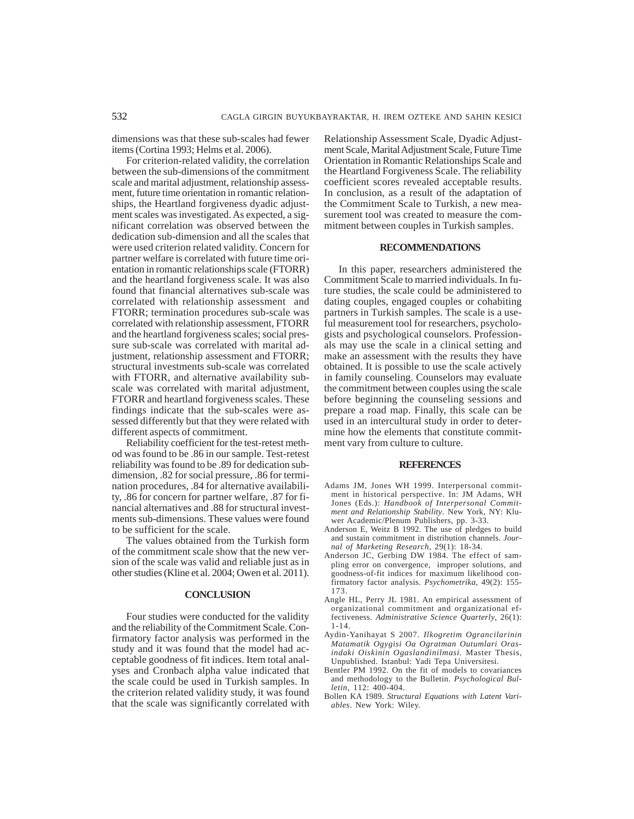dimensions was that these sub-scales had fewer items (Cortina 1993; Helms et al. 2006).

For criterion-related validity, the correlation between the sub-dimensions of the commitment scale and marital adjustment, relationship assessment, future time orientation in romantic relationships, the Heartland forgiveness dyadic adjustment scales was investigated. As expected, a significant correlation was observed between the dedication sub-dimension and all the scales that were used criterion related validity. Concern for partner welfare is correlated with future time orientation in romantic relationships scale (FTORR) and the heartland forgiveness scale. It was also found that financial alternatives sub-scale was correlated with relationship assessment and FTORR; termination procedures sub-scale was correlated with relationship assessment, FTORR and the heartland forgiveness scales; social pressure sub-scale was correlated with marital adjustment, relationship assessment and FTORR; structural investments sub-scale was correlated with FTORR, and alternative availability subscale was correlated with marital adjustment, FTORR and heartland forgiveness scales. These findings indicate that the sub-scales were assessed differently but that they were related with different aspects of commitment.

Reliability coefficient for the test-retest method was found to be .86 in our sample. Test-retest reliability was found to be .89 for dedication subdimension, .82 for social pressure, .86 for termination procedures, .84 for alternative availability, .86 for concern for partner welfare, .87 for financial alternatives and .88 for structural investments sub-dimensions. These values were found to be sufficient for the scale.

The values obtained from the Turkish form of the commitment scale show that the new version of the scale was valid and reliable just as in other studies (Kline et al. 2004; Owen et al. 2011).

#### **CONCLUSION**

Four studies were conducted for the validity and the reliability of the Commitment Scale. Confirmatory factor analysis was performed in the study and it was found that the model had acceptable goodness of fit indices. Item total analyses and Cronbach alpha value indicated that the scale could be used in Turkish samples. In the criterion related validity study, it was found that the scale was significantly correlated with

Relationship Assessment Scale, Dyadic Adjustment Scale, Marital Adjustment Scale, Future Time Orientation in Romantic Relationships Scale and the Heartland Forgiveness Scale. The reliability coefficient scores revealed acceptable results. In conclusion, as a result of the adaptation of the Commitment Scale to Turkish, a new measurement tool was created to measure the commitment between couples in Turkish samples.

### **RECOMMENDATIONS**

In this paper, researchers administered the Commitment Scale to married individuals. In future studies, the scale could be administered to dating couples, engaged couples or cohabiting partners in Turkish samples. The scale is a useful measurement tool for researchers, psychologists and psychological counselors. Professionals may use the scale in a clinical setting and make an assessment with the results they have obtained. It is possible to use the scale actively in family counseling. Counselors may evaluate the commitment between couples using the scale before beginning the counseling sessions and prepare a road map. Finally, this scale can be used in an intercultural study in order to determine how the elements that constitute commitment vary from culture to culture.

#### **REFERENCES**

- Adams JM, Jones WH 1999. Interpersonal commitment in historical perspective. In: JM Adams, WH Jones (Eds.): *Handbook of Interpersonal Commitment and Relationship Stability*. New York, NY: Kluwer Academic/Plenum Publishers, pp. 3-33.
- Anderson E, Weitz B 1992. The use of pledges to build and sustain commitment in distribution channels. *Journal of Marketing Research,* 29(1): 18-34.
- Anderson JC, Gerbing DW 1984. The effect of sampling error on convergence, improper solutions, and goodness-of-fit indices for maximum likelihood confirmatory factor analysis. *Psychometrika,* 49(2): 155- 173.
- Angle HL, Perry JL 1981. An empirical assessment of organizational commitment and organizational effectiveness. *Administrative Science Quarterly*, 26(1): 1-14.
- Aydin-Yanihayat S 2007. *Ilkogretim Ograncilarinin Matamatik Ogygisi Oa Ogratman Outumlari Orasindaki Oiskinin Ogaslandinilmasi.* Master Thesis, Unpublished. Istanbul: Yadi Tepa Universitesi.
- Bentler PM 1992. On the fit of models to covariances and methodology to the Bulletin. *Psychological Bulletin,* 112: 400-404.
- Bollen KA 1989. *Structural Equations with Latent Variables*. New York: Wiley.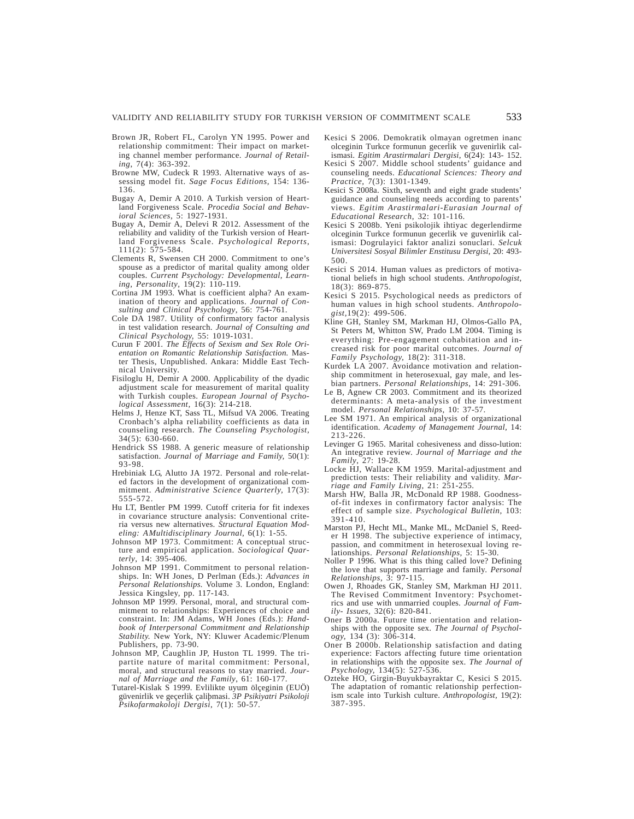- Brown JR, Robert FL, Carolyn YN 1995. Power and relationship commitment: Their impact on marketing channel member performance. *Journal of Retailing*, 7(4): 363-392.
- Browne MW, Cudeck R 1993. Alternative ways of assessing model fit. *Sage Focus Editions,* 154: 136- 136.
- Bugay A, Demir A 2010. A Turkish version of Heartland Forgiveness Scale. *Procedia Social and Behavioral Sciences,* 5: 1927-1931.
- Bugay A, Demir A, Delevi R 2012. Assessment of the reliability and validity of the Turkish version of Heartland Forgiveness Scale. *Psychological Reports*, 111(2): 575-584.
- Clements R, Swensen CH 2000. Commitment to one's spouse as a predictor of marital quality among older couples. *Current Psychology: Developmental, Learning, Personality*, 19(2): 110-119.
- Cortina JM 1993. What is coefficient alpha? An examination of theory and applications. *Journal of Consulting and Clinical Psychology*, 56: 754-761.
- Cole DA 1987. Utility of confirmatory factor analysis in test validation research. *Journal of Consulting and Clinical Psychology,* 55: 1019-1031.
- Curun F 2001. *The Effects of Sexism and Sex Role Orientation on Romantic Relationship Satisfaction.* Master Thesis, Unpublished. Ankara: Middle East Technical University.
- Fisiloglu H, Demir A 2000. Applicability of the dyadic adjustment scale for measurement of marital quality with Turkish couples. *European Journal of Psychological Assessment,* 16(3): 214-218.
- Helms J, Henze KT, Sass TL, Mifsud VA 2006. Treating Cronbach's alpha reliability coefficients as data in counseling research. *The Counseling Psychologist,* 34(5): 630-660.
- Hendrick SS 1988. A generic measure of relationship satisfaction. *Journal of Marriage and Family,* 50(1): 93-98.
- Hrebiniak LG, Alutto JA 1972. Personal and role-related factors in the development of organizational commitment. *Administrative Science Quarterly,* 17(3): 555-572.
- Hu LT, Bentler PM 1999. Cutoff criteria for fit indexes in covariance structure analysis: Conventional criteria versus new alternatives. *Structural Equation Modeling: AMultidisciplinary Journal*, 6(1): 1-55.
- Johnson MP 1973. Commitment: A conceptual structure and empirical application. *Sociological Quarterly*, 14: 395-406.
- Johnson MP 1991. Commitment to personal relationships. In: WH Jones, D Perlman (Eds.): *Advances in Personal Relationships.* Volume 3. London, England: Jessica Kingsley, pp. 117-143.
- Johnson MP 1999. Personal, moral, and structural commitment to relationships: Experiences of choice and constraint. In: JM Adams, WH Jones (Eds.): *Handbook of Interpersonal Commitment and Relationship Stability.* New York, NY: Kluwer Academic/Plenum Publishers, pp. 73-90.
- Johnson MP, Caughlin JP, Huston TL 1999. The tripartite nature of marital commitment: Personal, moral, and structural reasons to stay married. *Journal of Marriage and the Family*, 61: 160-177.
- Tutarel-Kislak S 1999. Evlilikte uyum ölçeginin (EUÖ) güvenirlik ve geçerlik çaliþmasi. *3P Psikiyatri Psikoloji Psikofarmakoloji Dergisi*, 7(1): 50-57.
- Kesici S 2006. Demokratik olmayan ogretmen inanc olceginin Turkce formunun gecerlik ve guvenirlik calismasi. *Egitim Arastirmalari Dergisi*, 6(24): 143- 152.
- Kesici S 2007. Middle school students' guidance and counseling needs. *Educational Sciences: Theory and Practice,* 7(3): 1301-1349.
- Kesici S 2008a. Sixth, seventh and eight grade students' guidance and counseling needs according to parents' views. *Egitim Arastirmalari-Eurasian Journal of Educational Research*, 32: 101-116.
- Kesici S 2008b. Yeni psikolojik ihtiyac degerlendirme olceginin Turkce formunun gecerlik ve guvenirlik calismasi: Dogrulayici faktor analizi sonuclari. *Selcuk Universitesi Sosyal Bilimler Enstitusu Dergisi,* 20: 493- 500.
- Kesici S 2014. Human values as predictors of motivational beliefs in high school students. *Anthropologist*, 18(3): 869-875.
- Kesici S 2015. Psychological needs as predictors of human values in high school students. *Anthropologist,*19(2): 499-506.
- Kline GH, Stanley SM, Markman HJ, Olmos-Gallo PA, St Peters M, Whitton SW, Prado LM 2004. Timing is everything: Pre-engagement cohabitation and increased risk for poor marital outcomes. *Journal of Family Psychology,* 18(2): 311-318.
- Kurdek LA 2007. Avoidance motivation and relationship commitment in heterosexual, gay male, and lesbian partners. *Personal Relationships*, 14: 291-306.
- Le B, Agnew CR 2003. Commitment and its theorized determinants: A meta-analysis of the investment model. *Personal Relationships*, 10: 37-57.
- Lee SM 1971. An empirical analysis of organizational identification. *Academy of Management Journal,* 14: 213-226.
- Levinger G 1965. Marital cohesiveness and disso-lution: An integrative review. *Journal of Marriage and the Family*, 27: 19-28.
- Locke HJ, Wallace KM 1959. Marital-adjustment and prediction tests: Their reliability and validity. *Marriage and Family Living,* 21: 251-255.
- Marsh HW, Balla JR, McDonald RP 1988. Goodnessof-fit indexes in confirmatory factor analysis: The effect of sample size. *Psychological Bulletin,* 103: 391-410.
- Marston PJ, Hecht ML, Manke ML, McDaniel S, Reeder H 1998. The subjective experience of intimacy, passion, and commitment in heterosexual loving relationships. *Personal Relationships,* 5: 15-30.
- Noller P 1996. What is this thing called love? Defining the love that supports marriage and family. *Personal Relationships,* 3: 97-115.
- Owen J, Rhoades GK, Stanley SM, Markman HJ 2011. The Revised Commitment Inventory: Psychometrics and use with unmarried couples. *Journal of Family- Issues,* 32(6): 820-841.
- Oner B 2000a. Future time orientation and relationships with the opposite sex. *The Journal of Psychology,* 134 (3): 306-314.
- Oner B 2000b. Relationship satisfaction and dating experience: Factors affecting future time orientation in relationships with the opposite sex. *The Journal of Psychology,* 134(5): 527-536.
- Ozteke HO, Girgin-Buyukbayraktar C, Kesici S 2015. The adaptation of romantic relationship perfectionism scale into Turkish culture. *Anthropologist,* 19(2): 387-395.